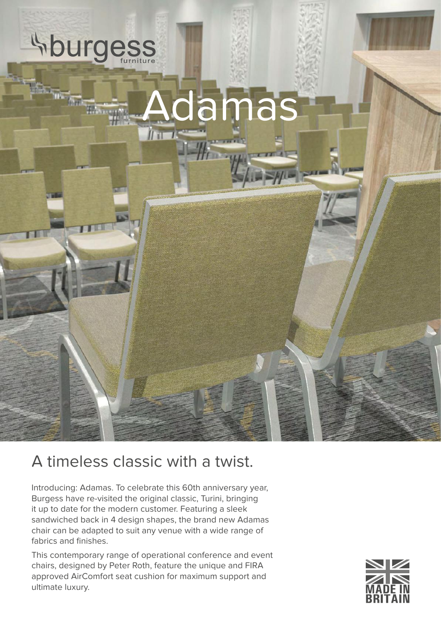

## A timeless classic with a twist.

Introducing: Adamas. To celebrate this 60th anniversary year, Burgess have re-visited the original classic, Turini, bringing it up to date for the modern customer. Featuring a sleek sandwiched back in 4 design shapes, the brand new Adamas chair can be adapted to suit any venue with a wide range of fabrics and finishes.

This contemporary range of operational conference and event chairs, designed by Peter Roth, feature the unique and FIRA approved AirComfort seat cushion for maximum support and ultimate luxury.